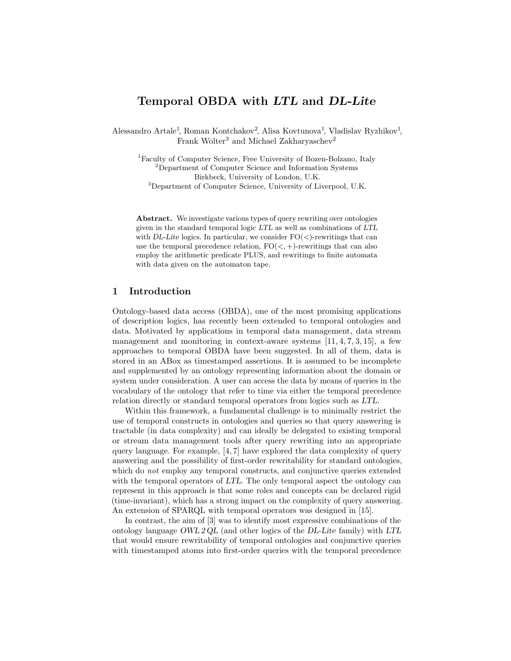## Temporal OBDA with LTL and DL-Lite

Alessandro Artale<sup>1</sup>, Roman Kontchakov<sup>2</sup>, Alisa Kovtunova<sup>1</sup>, Vladislav Ryzhikov<sup>1</sup>, Frank Wolter<sup>3</sup> and Michael Zakharyaschev<sup>2</sup>

<sup>1</sup>Faculty of Computer Science, Free University of Bozen-Bolzano, Italy <sup>2</sup>Department of Computer Science and Information Systems Birkbeck, University of London, U.K. <sup>3</sup>Department of Computer Science, University of Liverpool, U.K.

Abstract. We investigate various types of query rewriting over ontologies given in the standard temporal logic LTL as well as combinations of LTL with DL-Lite logics. In particular, we consider  $FO(<)$ -rewritings that can use the temporal precedence relation,  $FO(<, +)$ -rewritings that can also employ the arithmetic predicate PLUS, and rewritings to finite automata with data given on the automaton tape.

## 1 Introduction

Ontology-based data access (OBDA), one of the most promising applications of description logics, has recently been extended to temporal ontologies and data. Motivated by applications in temporal data management, data stream management and monitoring in context-aware systems  $[11, 4, 7, 3, 15]$ , a few approaches to temporal OBDA have been suggested. In all of them, data is stored in an ABox as timestamped assertions. It is assumed to be incomplete and supplemented by an ontology representing information about the domain or system under consideration. A user can access the data by means of queries in the vocabulary of the ontology that refer to time via either the temporal precedence relation directly or standard temporal operators from logics such as LTL.

Within this framework, a fundamental challenge is to minimally restrict the use of temporal constructs in ontologies and queries so that query answering is tractable (in data complexity) and can ideally be delegated to existing temporal or stream data management tools after query rewriting into an appropriate query language. For example,  $[4, 7]$  have explored the data complexity of query answering and the possibility of first-order rewritability for standard ontologies, which do *not* employ any temporal constructs, and conjunctive queries extended with the temporal operators of LTL. The only temporal aspect the ontology can represent in this approach is that some roles and concepts can be declared rigid (time-invariant), which has a strong impact on the complexity of query answering. An extension of SPARQL with temporal operators was designed in [15].

In contrast, the aim of [3] was to identify most expressive combinations of the ontology language OWL 2 QL (and other logics of the DL-Lite family) with LTL that would ensure rewritability of temporal ontologies and conjunctive queries with timestamped atoms into first-order queries with the temporal precedence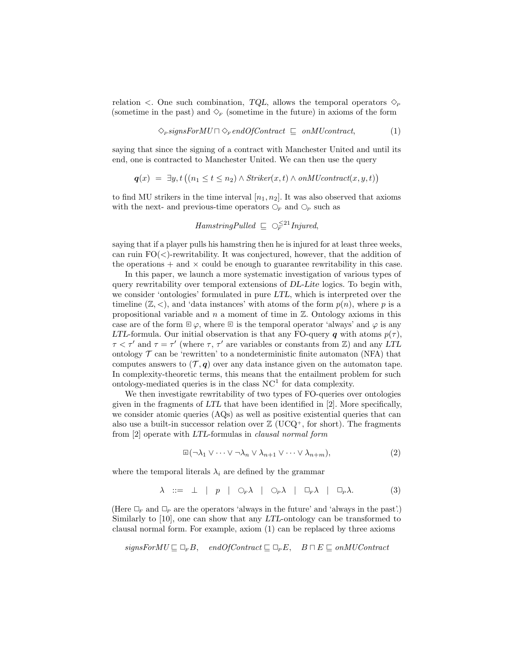relation  $\langle$ . One such combination, TQL, allows the temporal operators  $\Diamond$ (sometime in the past) and  $\Diamond_F$  (sometime in the future) in axioms of the form

$$
\Diamond_{P} signsFor MUC \cap \Diamond_{F} endOfContract \sqsubseteq on MU contract,
$$
\n(1)

saying that since the signing of a contract with Manchester United and until its end, one is contracted to Manchester United. We can then use the query

$$
q(x) = \exists y, t \left( (n_1 \le t \le n_2) \land Striker(x, t) \land onMU contract(x, y, t) \right)
$$

to find MU strikers in the time interval  $[n_1, n_2]$ . It was also observed that axioms with the next- and previous-time operators  $\mathcal{O}_F$  and  $\mathcal{O}_P$  such as

 $HamsringPulled  $\subseteq$   $\bigcirc_{F}^{\leq 21}$  Injured,$ 

saying that if a player pulls his hamstring then he is injured for at least three weeks, can ruin  $FO(\langle)$ -rewritability. It was conjectured, however, that the addition of the operations  $+$  and  $\times$  could be enough to guarantee rewritability in this case.

In this paper, we launch a more systematic investigation of various types of query rewritability over temporal extensions of DL-Lite logics. To begin with, we consider 'ontologies' formulated in pure LTL, which is interpreted over the timeline  $(\mathbb{Z}, \leq)$ , and 'data instances' with atoms of the form  $p(n)$ , where p is a propositional variable and  $n$  a moment of time in  $\mathbb{Z}$ . Ontology axioms in this case are of the form  $\mathbb{E}\varphi$ , where  $\mathbb{E}$  is the temporal operator 'always' and  $\varphi$  is any LTL-formula. Our initial observation is that any FO-query q with atoms  $p(\tau)$ ,  $\tau < \tau'$  and  $\tau = \tau'$  (where  $\tau$ ,  $\tau'$  are variables or constants from Z) and any LTL ontology  $\mathcal T$  can be 'rewritten' to a nondeterministic finite automaton (NFA) that computes answers to  $(\mathcal{T}, q)$  over any data instance given on the automaton tape. In complexity-theoretic terms, this means that the entailment problem for such ontology-mediated queries is in the class  $NC<sup>1</sup>$  for data complexity.

We then investigate rewritability of two types of FO-queries over ontologies given in the fragments of LTL that have been identified in [2]. More specifically, we consider atomic queries (AQs) as well as positive existential queries that can also use a built-in successor relation over  $\mathbb{Z}$  (UCQ<sup>+</sup>, for short). The fragments from [2] operate with LTL-formulas in clausal normal form

$$
\mathbb{E}(\neg \lambda_1 \vee \dots \vee \neg \lambda_n \vee \lambda_{n+1} \vee \dots \vee \lambda_{n+m}),\tag{2}
$$

where the temporal literals  $\lambda_i$  are defined by the grammar

$$
\lambda \ ::= \ \bot \ | \ p \ | \ \bigcirc_F \lambda \ | \ \bigcirc_P \lambda \ | \ \Box_F \lambda \ | \ \Box_F \lambda. \tag{3}
$$

(Here  $\Box_F$  and  $\Box_P$  are the operators 'always in the future' and 'always in the past'.) Similarly to [10], one can show that any LTL-ontology can be transformed to clausal normal form. For example, axiom (1) can be replaced by three axioms

$$
signsForMU \sqsubseteq \Box_F B, \quad endOfContract \sqsubseteq \Box_P E, \quad B \sqcap E \sqsubseteq onMUContract
$$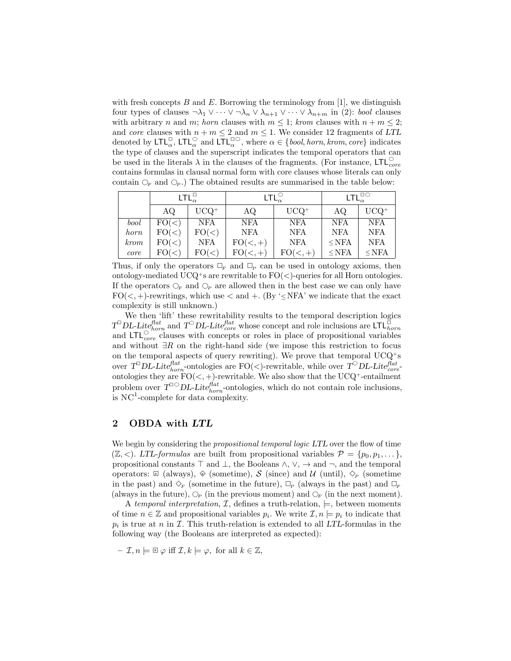with fresh concepts  $B$  and  $E$ . Borrowing the terminology from [1], we distinguish four types of clauses  $\neg \lambda_1 \vee \cdots \vee \neg \lambda_n \vee \lambda_{n+1} \vee \cdots \vee \lambda_{n+m}$  in (2): *bool* clauses with arbitrary n and m; horn clauses with  $m \leq 1$ ; krom clauses with  $n + m \leq 2$ ; and core clauses with  $n + m \leq 2$  and  $m \leq 1$ . We consider 12 fragments of LTL denoted by  $\mathsf{LTL}_{\alpha}^{\square}$ ,  $\mathsf{LTL}_{\alpha}^{\square}$  and  $\mathsf{LTL}_{\alpha}^{\square\bigcirc}$ , where  $\alpha \in \{\text{bool}, \text{horn}, \text{krom}, \text{core}\}$  indicates the type of clauses and the superscript indicates the temporal operators that can be used in the literals  $\lambda$  in the clauses of the fragments. (For instance, LTL $_{core}^{\circ}$ contains formulas in clausal normal form with core clauses whose literals can only contain  $\mathcal{O}_F$  and  $\mathcal{O}_P$ .) The obtained results are summarised in the table below:

|             | $LTL_{\alpha}^{\Box}$ |            | $LTL_{\alpha}^{\circlearrowright}$ |            | $LTL^{\square\bigcirc}_{\alpha}$ |            |
|-------------|-----------------------|------------|------------------------------------|------------|----------------------------------|------------|
|             | AQ.                   | $UCQ^+$    | AQ                                 | $UCQ^+$    | AQ                               | $UCQ^+$    |
| bool        | FO(<)                 | <b>NFA</b> | <b>NFA</b>                         | <b>NFA</b> | <b>NFA</b>                       | <b>NFA</b> |
| horn        | FO(<)                 | FO(<)      | <b>NFA</b>                         | <b>NFA</b> | <b>NFA</b>                       | <b>NFA</b> |
| <i>krom</i> | FO(<)                 | <b>NFA</b> | $FO(<,+)$                          | <b>NFA</b> | $\le$ NFA                        | <b>NFA</b> |
| core        | FO(<)                 | FO(<)      | $FO(<,+)$                          | $FO(<,+)$  | $\le$ NFA                        | $\le$ NFA  |

Thus, if only the operators  $\Box_F$  and  $\Box_P$  can be used in ontology axioms, then ontology-mediated UCQ<sup>+</sup>s are rewritable to  $FO(<)$ -queries for all Horn ontologies. If the operators  $\mathcal{O}_F$  and  $\mathcal{O}_P$  are allowed then in the best case we can only have FO( $\lt$ , +)-rewritings, which use  $\lt$  and  $+$ . (By ' $\leq$ NFA' we indicate that the exact complexity is still unknown.)

We then 'lift' these rewritability results to the temporal description logics  $T^{\Box}DL\text{-}Lie^{flat}_{horn}$  and  $T^{\bigcirc}DL\text{-}Lie^{flat}_{core}$  whose concept and role inclusions are  $\mathsf{LTL}^{\breve{\Box}}_{horn}$ and  $LTL_{core}^{\circ}$  clauses with concepts or roles in place of propositional variables and without ∃R on the right-hand side (we impose this restriction to focus on the temporal aspects of query rewriting). We prove that temporal  $UCQ^+s$ over  $T^{\Box}DL\text{-}Lite^{flat}_{horn}$ -ontologies are FO(<)-rewritable, while over  $T^{\bigcirc}DL\text{-}Lite^{flat}_{core}$ ontologies they are  $FO(<, +)$ -rewritable. We also show that the UCQ<sup>+</sup>-entailment problem over  $T^{\square\bigcirc}DL\text{-}Lite^{flat}_{horn}$ -ontologies, which do not contain role inclusions, is  $NC<sup>1</sup>$ -complete for data complexity.

## 2 OBDA with LTL

We begin by considering the *propositional temporal logic LTL* over the flow of time  $(\mathbb{Z}, \leq)$ . LTL-formulas are built from propositional variables  $\mathcal{P} = \{p_0, p_1, \dots\}$ , propositional constants  $\top$  and  $\bot$ , the Booleans  $\land$ ,  $\lor$ ,  $\rightarrow$  and  $\neg$ , and the temporal operators: <u><sup>■</sup></u> (always),  $\otimes$  (sometime),  $S$  (since) and  $\mathcal{U}$  (until),  $\diamondsuit_P$  (sometime in the past) and  $\Diamond_F$  (sometime in the future),  $\Box_F$  (always in the past) and  $\Box_F$ (always in the future),  $\mathcal{O}_P$  (in the previous moment) and  $\mathcal{O}_F$  (in the next moment).

A temporal interpretation,  $\mathcal{I}$ , defines a truth-relation,  $\models$ , between moments of time  $n \in \mathbb{Z}$  and propositional variables  $p_i$ . We write  $\mathcal{I}, n \models p_i$  to indicate that  $p_i$  is true at n in  $\mathcal I$ . This truth-relation is extended to all LTL-formulas in the following way (the Booleans are interpreted as expected):

$$
- \mathcal{I}, n \models \mathbb{E} \varphi \text{ iff } \mathcal{I}, k \models \varphi, \text{ for all } k \in \mathbb{Z},
$$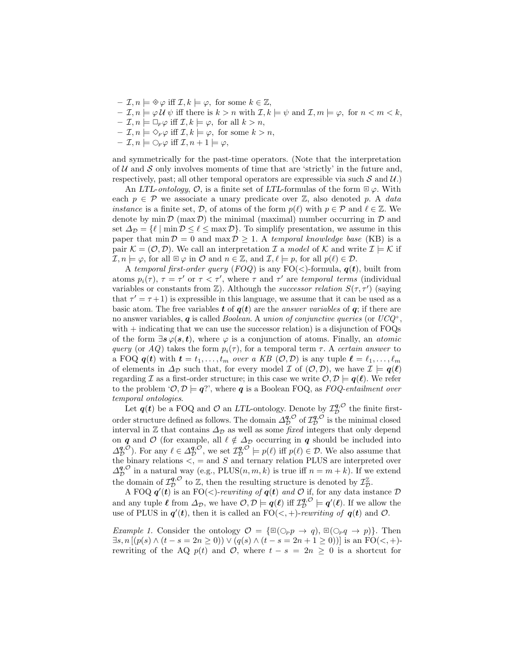- $-I, n \models \otimes \varphi$  iff  $\mathcal{I}, k \models \varphi$ , for some  $k \in \mathbb{Z}$ ,
- $\mathcal{I}, n \models \varphi \mathcal{U} \psi$  iff there is  $k > n$  with  $\mathcal{I}, k \models \psi$  and  $\mathcal{I}, m \models \varphi$ , for  $n < m < k$ ,
- $\mathcal{I}, n \models \Box_F \varphi \text{ iff } \mathcal{I}, k \models \varphi, \text{ for all } k > n,$
- $\mathcal{I}, n \models \Diamond_F \varphi \text{ iff } \mathcal{I}, k \models \varphi, \text{ for some } k > n,$
- $-\mathcal{I}, n \models \bigcirc_{F} \varphi \text{ iff } \mathcal{I}, n+1 \models \varphi,$

and symmetrically for the past-time operators. (Note that the interpretation of  $U$  and  $S$  only involves moments of time that are 'strictly' in the future and, respectively, past; all other temporal operators are expressible via such  $S$  and  $U$ .)

An LTL-ontology,  $\mathcal{O}$ , is a finite set of LTL-formulas of the form  $\mathbb{F}\varphi$ . With each  $p \in \mathcal{P}$  we associate a unary predicate over  $\mathbb{Z}$ , also denoted p. A *data instance* is a finite set, D, of atoms of the form  $p(\ell)$  with  $p \in \mathcal{P}$  and  $\ell \in \mathbb{Z}$ . We denote by  $\min \mathcal{D}$  (max  $\mathcal{D}$ ) the minimal (maximal) number occurring in  $\mathcal D$  and set  $\Delta_{\mathcal{D}} = \{ \ell \mid \min \mathcal{D} \leq \ell \leq \max \mathcal{D} \}.$  To simplify presentation, we assume in this paper that  $\min \mathcal{D} = 0$  and  $\max \mathcal{D} \geq 1$ . A temporal knowledge base (KB) is a pair  $\mathcal{K} = (\mathcal{O}, \mathcal{D})$ . We call an interpretation  $\mathcal{I}$  a model of  $\mathcal{K}$  and write  $\mathcal{I} \models \mathcal{K}$  if  $\mathcal{I}, n \models \varphi$ , for all  $\mathbb{F} \varphi$  in  $\mathcal{O}$  and  $n \in \mathbb{Z}$ , and  $\mathcal{I}, \ell \models p$ , for all  $p(\ell) \in \mathcal{D}$ .

A temporal first-order query (FOQ) is any  $FO(<)$ -formula,  $q(t)$ , built from atoms  $p_i(\tau)$ ,  $\tau = \tau'$  or  $\tau < \tau'$ , where  $\tau$  and  $\tau'$  are temporal terms (individual variables or constants from  $\mathbb{Z}$ ). Although the *successor relation*  $S(\tau, \tau')$  (saying that  $\tau' = \tau + 1$ ) is expressible in this language, we assume that it can be used as a basic atom. The free variables t of  $q(t)$  are the *answer variables* of  $q$ ; if there are no answer variables, q is called *Boolean.* A union of conjunctive queries (or  $UCQ^+$ , with  $+$  indicating that we can use the successor relation) is a disjunction of FOQs of the form  $\exists s \varphi(s, t)$ , where  $\varphi$  is a conjunction of atoms. Finally, an *atomic* query (or AQ) takes the form  $p_i(\tau)$ , for a temporal term  $\tau$ . A certain answer to a FOQ  $q(t)$  with  $t = t_1, \ldots, t_m$  over a KB  $(0, \mathcal{D})$  is any tuple  $\ell = \ell_1, \ldots, \ell_m$ of elements in  $\Delta_{\mathcal{D}}$  such that, for every model  $\mathcal{I}$  of  $(\mathcal{O}, \mathcal{D})$ , we have  $\mathcal{I} \models q(\ell)$ regarding I as a first-order structure; in this case we write  $\mathcal{O}, \mathcal{D} \models q(\ell)$ . We refer to the problem ' $\mathcal{O}, \mathcal{D} \models q$ '', where q is a Boolean FOQ, as FOQ-entailment over temporal ontologies.

Let  $q(t)$  be a FOQ and  $\mathcal O$  an LTL-ontology. Denote by  $\mathcal I^{q,\mathcal O}_\mathcal D$  the finite firstorder structure defined as follows. The domain  $\Delta_{\mathcal{D}}^{q,\mathcal{O}}$  of  $\mathcal{I}_{\mathcal{D}}^{q,\mathcal{O}}$  is the minimal closed interval in  $\mathbb Z$  that contains  $\Delta_{\mathcal D}$  as well as some *fixed* integers that only depend on  $q$  and  $\mathcal O$  (for example, all  $\ell \notin \Delta_{\mathcal D}$  occurring in  $q$  should be included into  $\Delta_{\mathcal{D}}^{\mathbf{q},\mathcal{O}}$ ). For any  $\ell \in \Delta_{\mathcal{D}}^{\mathbf{q},\mathcal{O}},$  we set  $\mathcal{I}_{\mathcal{D}}^{\mathbf{q},\mathcal{O}} \models p(\ell)$  iff  $p(\ell) \in \mathcal{D}$ . We also assume that the binary relations  $\lt$ , = and S and ternary relation PLUS are interpreted over  $\Delta_{\mathcal{D}}^{\mathbf{q},\mathcal{O}}$  in a natural way (e.g., PLUS $(n,m,k)$  is true iff  $n = m + k$ ). If we extend the domain of  $\mathcal{I}_{\mathcal{D}}^{q,\mathcal{O}}$  to  $\mathbb{Z}$ , then the resulting structure is denoted by  $\mathcal{I}_{\mathcal{D}}^{\mathbb{Z}}$ .

A FOQ  $q'(t)$  is an FO(<)-rewriting of  $q(t)$  and O if, for any data instance D and any tuple  $\ell$  from  $\Delta_{\mathcal{D}}$ , we have  $\mathcal{O}, \mathcal{D} \models q(\ell)$  iff  $\mathcal{I}_{\mathcal{D}}^{q,\mathcal{O}} \models q'(\ell)$ . If we allow the use of PLUS in  $q'(t)$ , then it is called an  $FO(<, +)$ -rewriting of  $q(t)$  and  $O$ .

*Example 1.* Consider the ontology  $\mathcal{O} = {\mathbb{R}}(\bigcirc_{P} p \to q), {\mathbb{R}}(\bigcirc_{P} q \to p)$ . Then  $\exists s, n \left[ (p(s) \wedge (t - s = 2n \ge 0)) \vee (q(s) \wedge (t - s = 2n + 1 \ge 0)) \right]$  is an  $\text{FO}(\le, +)$ rewriting of the AQ  $p(t)$  and  $\mathcal{O}$ , where  $t - s = 2n \geq 0$  is a shortcut for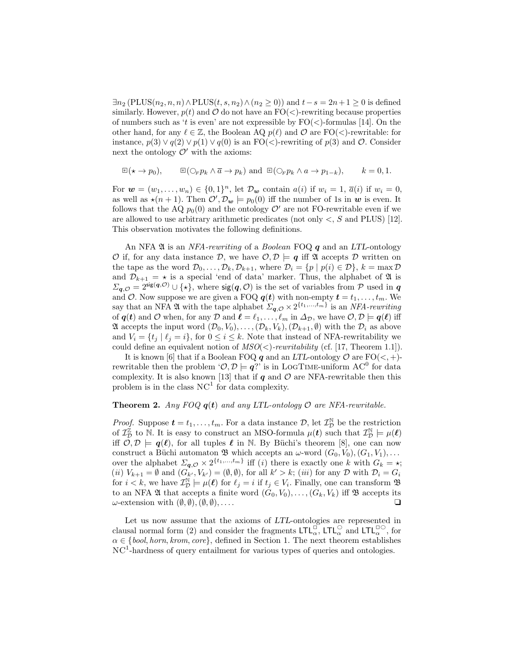$\exists n_2 \left( \text{PLUS}(n_2, n, n) \land \text{PLUS}(t, s, n_2) \land (n_2 \geq 0) \right)$  and  $t-s = 2n+1 \geq 0$  is defined similarly. However,  $p(t)$  and  $\mathcal O$  do not have an  $\mathrm{FO}(\langle)$ -rewriting because properties of numbers such as 't is even' are not expressible by  $FO(<)$ -formulas [14]. On the other hand, for any  $\ell \in \mathbb{Z}$ , the Boolean AQ  $p(\ell)$  and  $\mathcal{O}$  are FO(<)-rewritable: for instance,  $p(3) \vee q(2) \vee p(1) \vee q(0)$  is an FO(<)-rewriting of  $p(3)$  and  $\mathcal{O}$ . Consider next the ontology  $\mathcal{O}'$  with the axioms:

$$
\mathbb{E}(\star \to p_0), \qquad \mathbb{E}(\bigcirc_F p_k \land \overline{a} \to p_k) \text{ and } \mathbb{E}(\bigcirc_F p_k \land a \to p_{1-k}), \qquad k = 0, 1.
$$

For  $\mathbf{w} = (w_1, \ldots, w_n) \in \{0, 1\}^n$ , let  $\mathcal{D}_{\mathbf{w}}$  contain  $a(i)$  if  $w_i = 1$ ,  $\overline{a}(i)$  if  $w_i = 0$ , as well as  $\star(n + 1)$ . Then  $\mathcal{O}', \mathcal{D}_w \models p_0(0)$  iff the number of 1s in w is even. It follows that the AQ  $p_0(0)$  and the ontology  $\mathcal{O}'$  are not FO-rewritable even if we are allowed to use arbitrary arithmetic predicates (not only  $\lt$ , S and PLUS) [12]. This observation motivates the following definitions.

An NFA  $\mathfrak A$  is an *NFA-rewriting* of a *Boolean* FOQ  $q$  and an *LTL*-ontology O if, for any data instance D, we have  $\mathcal{O}, \mathcal{D} \models q$  iff  $\mathfrak A$  accepts D written on the tape as the word  $\mathcal{D}_0, \ldots, \mathcal{D}_k, \mathcal{D}_{k+1}$ , where  $\mathcal{D}_i = \{p \mid p(i) \in \mathcal{D}\}, k = \max \mathcal{D}$ and  $\mathcal{D}_{k+1} = \star$  is a special 'end of data' marker. Thus, the alphabet of  $\mathfrak A$  is  $\Sigma_{\mathbf{q},\mathcal{O}} = 2^{\text{sig}(\mathbf{q},\mathcal{O})} \cup \{ \star \},\$  where  $\text{sig}(\mathbf{q},\mathcal{O})$  is the set of variables from P used in  $\mathbf{q}$ and O. Now suppose we are given a FOQ  $q(t)$  with non-empty  $t = t_1, \ldots, t_m$ . We say that an NFA  $\mathfrak A$  with the tape alphabet  $\Sigma_{\mathbf q, \mathcal{O}} \times 2^{\{t_1, \ldots, t_m\}}$  is an NFA-rewriting of  $q(t)$  and  $\mathcal O$  when, for any  $\mathcal D$  and  $\ell = \ell_1, \ldots, \ell_m$  in  $\Delta_{\mathcal D}$ , we have  $\mathcal O, \mathcal D \models q(\ell)$  iff A accepts the input word  $(\mathcal{D}_0, V_0), \ldots, (\mathcal{D}_k, V_k), (\mathcal{D}_{k+1}, \emptyset)$  with the  $\mathcal{D}_i$  as above and  $V_i = \{t_i | \ell_i = i\}$ , for  $0 \le i \le k$ . Note that instead of NFA-rewritability we could define an equivalent notion of  $MSO(\langle)$ -rewritability (cf. [17, Theorem 1.1]).

It is known [6] that if a Boolean FOQ q and an LTL-ontology  $\mathcal{O}$  are FO( $\lt$ , +)rewritable then the problem ' $\mathcal{O}, \mathcal{D} \models q$ ?' is in LOGTIME-uniform AC<sup>0</sup> for data complexity. It is also known [13] that if  $q$  and  $\mathcal O$  are NFA-rewritable then this problem is in the class  $NC<sup>1</sup>$  for data complexity.

#### **Theorem 2.** Any FOQ  $q(t)$  and any LTL-ontology  $\mathcal{O}$  are NFA-rewritable.

*Proof.* Suppose  $\boldsymbol{t} = t_1, \ldots, t_m$ . For a data instance  $\mathcal{D}$ , let  $\mathcal{I}_{\mathcal{D}}^{\mathbb{N}}$  be the restriction of  $\mathcal{I}_{\mathcal{D}}^{\mathbb{Z}}$  to N. It is easy to construct an MSO-formula  $\mu(t)$  such that  $\mathcal{I}_{\mathcal{D}}^{\mathbb{N}} \models \mu(\ell)$ iff  $\mathcal{O}, \mathcal{D} \models q(\ell)$ , for all tuples  $\ell$  in N. By Büchi's theorem [8], one can now construct a Büchi automaton  $\mathfrak{B}$  which accepts an  $\omega$ -word  $(G_0, V_0), (G_1, V_1), \ldots$ over the alphabet  $\Sigma_{q,\mathcal{O}} \times 2^{\{t_1,\dots,t_m\}}$  iff (*i*) there is exactly one k with  $G_k = \star$ ; (*ii*)  $V_{k+1} = \emptyset$  and  $(G_{k'}, V_{k'}) = (\emptyset, \emptyset)$ , for all  $k' > k$ ; (*iii*) for any  $D$  with  $D_i = G_i$ for  $i < k$ , we have  $\mathcal{I}_{\mathcal{D}}^{\mathbb{N}} \models \mu(\ell)$  for  $\ell_j = i$  if  $t_j \in V_i$ . Finally, one can transform  $\mathfrak{B}$ to an NFA 24 that accepts a finite word  $(G_0, V_0), \ldots, (G_k, V_k)$  iff  $\mathfrak B$  accepts its  $\omega$ -extension with  $(\emptyset, \emptyset),(\emptyset, \emptyset), \ldots$ .

Let us now assume that the axioms of LTL-ontologies are represented in clausal normal form (2) and consider the fragments  $LTL_{\alpha}^{\Box}$ ,  $LTL_{\alpha}^{\Box}$  and  $LTL_{\alpha}^{\Box}$ , for  $\alpha \in \{bool, horn, krom, core\}$ , defined in Section 1. The next theorem establishes NC<sup>1</sup>-hardness of query entailment for various types of queries and ontologies.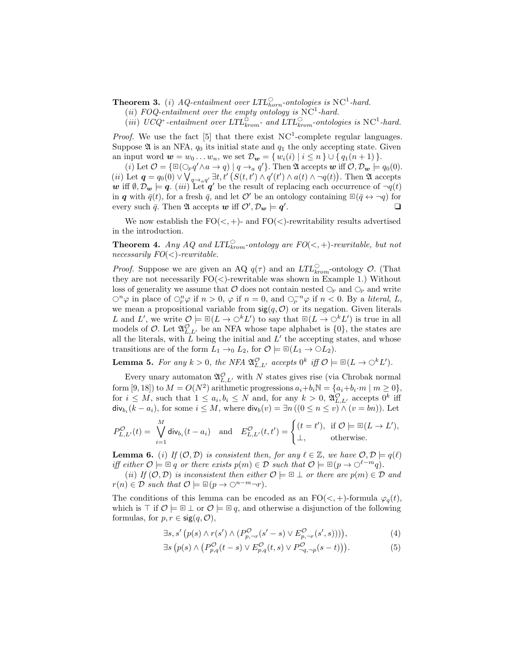**Theorem 3.** (i) AQ-entailment over  $LTL_{horn}^{\circ}$ -ontologies is NC<sup>1</sup>-hard.

(ii) FOQ-entailment over the empty ontology is  $NC^1$ -hard.

(iii) UCQ<sup>+</sup>-entailment over  $LTL_{krom}^{\Box}$ - and  $LTL_{krom}^{\bigcirc}$ -ontologies is NC<sup>1</sup>-hard.

*Proof.* We use the fact [5] that there exist  $NC<sup>1</sup>$ -complete regular languages. Suppose  $\mathfrak A$  is an NFA,  $q_0$  its initial state and  $q_1$  the only accepting state. Given an input word  $\mathbf{w} = w_0 \dots w_n$ , we set  $\mathcal{D}_{\mathbf{w}} = \{ w_i(i) \mid i \leq n \} \cup \{ q_1(n+1) \}.$ 

(*i*) Let  $\mathcal{O} = \{ \mathbb{E}(\bigcirc_{F} q' \land a \to q) \mid q \to_{a} q' \}$ . Then  $\mathfrak{A}$  accepts  $w$  iff  $\mathcal{O}, \mathcal{D}_{w} \models q_{0}(0)$ . (*ii*) Let  $q = q_0(0) \vee \bigvee_{q \to aq'} \exists t, t' \left( S(t, t') \wedge q'(t') \wedge a(t) \wedge \neg q(t) \right)$ . Then  $\mathfrak A$  accepts w iff  $\emptyset, \mathcal{D}_{w} \models q$ . (*iii*) Let q' be the result of replacing each occurrence of  $\neg q(t)$ in q with  $\bar{q}(t)$ , for a fresh  $\bar{q}$ , and let O' be an ontology containing  $\mathbb{E}(\bar{q} \leftrightarrow \neg q)$  for every such  $\bar{q}$ . Then  $\mathfrak A$  accepts  $\bm w$  iff  $\mathcal O', \mathcal D_{\bm w} \models \bm q'$ . ❑

We now establish the  $FO(<, +)$ - and  $FO(<)$ -rewritability results advertised in the introduction.

**Theorem 4.** Any AQ and  $LTL_{krom}^{\circ}$ -ontology are  $FO(<, +)$ -rewritable, but not necessarily  $FO(<)$ -rewritable.

*Proof.* Suppose we are given an AQ  $q(\tau)$  and an  $LTL<sup>C</sup><sub>krom</sub>$ -ontology  $\mathcal{O}$ . (That they are not necessarily  $FO(<)$ -rewritable was shown in Example 1.) Without loss of generality we assume that  $\mathcal O$  does not contain nested  $\bigcirc_F$  and  $\bigcirc_P$  and write  $\bigcirc^n \varphi$  in place of  $\bigcirc^n_{F} \varphi$  if  $n > 0$ ,  $\varphi$  if  $n = 0$ , and  $\bigcirc^{n}_{F} \varphi$  if  $n < 0$ . By a *literal*, L, we mean a propositional variable from  $sig(q, 0)$  or its negation. Given literals L and L', we write  $\mathcal{O} \models \mathbb{E}(L \to \bigcirc^k L')$  to say that  $\mathbb{E}(L \to \bigcirc^k L')$  is true in all models of  $\mathcal{O}$ . Let  $\mathfrak{A}^{\mathcal{O}}_{L,L'}$  be an NFA whose tape alphabet is  $\{0\}$ , the states are all the literals, with  $\hat{L}$  being the initial and  $L'$  the accepting states, and whose transitions are of the form  $L_1 \rightarrow_0 L_2$ , for  $\mathcal{O} \models \mathbb{E}(L_1 \rightarrow \bigcirc L_2)$ .

**Lemma 5.** For any  $k > 0$ , the NFA  $\mathfrak{A}^{\mathcal{O}}_{L,L'}$  accepts  $0^k$  iff  $\mathcal{O} \models \mathbb{E}(L \to \bigcirc^k L').$ 

Every unary automaton  $\mathfrak{A}_{L,L'}^{\mathcal{O}}$  with N states gives rise (via Chrobak normal form [9, 18]) to  $M = O(N^2)$  arithmetic progressions  $a_i + b_i \mathbb{N} = \{a_i + b_i \cdot m \mid m \ge 0\},$ for  $i \leq M$ , such that  $1 \leq a_i, b_i \leq N$  and, for any  $k > 0$ ,  $\mathfrak{A}_{L,L'}^{\mathcal{O}}$  accepts  $0^k$  iff  $\mathsf{div}_{b_i}(k-a_i)$ , for some  $i \leq M$ , where  $\mathsf{div}_b(v) = \exists n ((0 \leq n \leq v) \land (v = bn))$ . Let

$$
P_{L,L'}^{\mathcal{O}}(t) = \bigvee_{i=1}^{M} \text{div}_{b_i}(t - a_i) \quad \text{and} \quad E_{L,L'}^{\mathcal{O}}(t, t') = \begin{cases} (t = t'), & \text{if } \mathcal{O} \models \mathbb{B}(L \to L'), \\ \perp, & \text{otherwise.} \end{cases}
$$

**Lemma 6.** (i) If  $(0, \mathcal{D})$  is consistent then, for any  $\ell \in \mathbb{Z}$ , we have  $\mathcal{O}, \mathcal{D} \models q(\ell)$ iff either  $\mathcal{O} \models \mathbb{E} q$  or there exists  $p(m) \in \mathcal{D}$  such that  $\mathcal{O} \models \mathbb{E} (p \to \bigcirc^{\ell-m} q)$ .

(ii) If  $(\mathcal{O}, \mathcal{D})$  is inconsistent then either  $\mathcal{O} \models \mathbb{F} \perp$  or there are  $p(m) \in \mathcal{D}$  and  $r(n) \in \mathcal{D}$  such that  $\mathcal{O} \models \mathbb{E}(p \to \bigcirc^{n-m} \neg r)$ .

The conditions of this lemma can be encoded as an  $FO(<, +)$ -formula  $\varphi_q(t)$ , which is  $\top$  if  $\mathcal{O} \models \mathbb{Z} \perp$  or  $\mathcal{O} \models \mathbb{Z} q$ , and otherwise a disjunction of the following formulas, for  $p, r \in \text{sig}(q, \mathcal{O}),$ 

$$
\exists s, s' \left( p(s) \land r(s') \land (P_{p,\neg r}^{\mathcal{O}}(s'-s) \lor E_{p,\neg r}^{\mathcal{O}}(s',s))) \right),\tag{4}
$$

$$
\exists s \left( p(s) \land \left( P_{p,q}^{\mathcal{O}}(t-s) \lor E_{p,q}^{\mathcal{O}}(t,s) \lor P_{\neg q,\neg p}^{\mathcal{O}}(s-t) \right) \right). \tag{5}
$$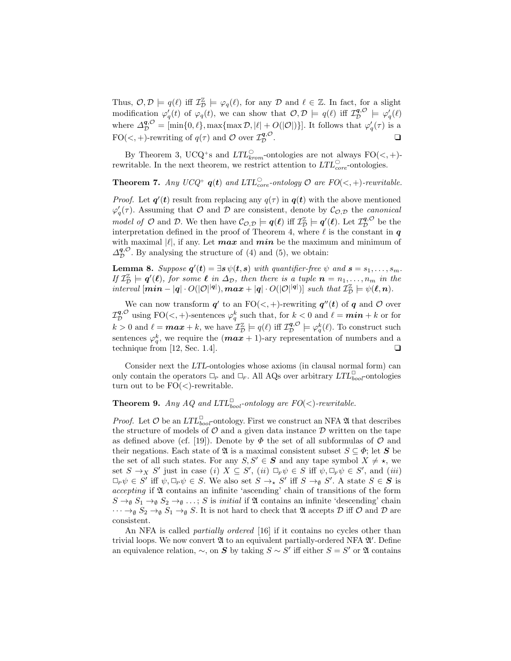Thus,  $\mathcal{O}, \mathcal{D} \models q(\ell)$  iff  $\mathcal{I}_{\mathcal{D}}^{\mathbb{Z}} \models \varphi_q(\ell)$ , for any  $\mathcal{D}$  and  $\ell \in \mathbb{Z}$ . In fact, for a slight modification  $\varphi'_q(t)$  of  $\varphi_q(t)$ , we can show that  $\mathcal{O}, \mathcal{D} \models q(\ell)$  iff  $\mathcal{I}_{\mathcal{D}}^{q,\mathcal{O}} \models \varphi'_q(\ell)$ where  $\Delta_{\mathcal{D}}^{\mathbf{q},\mathcal{O}} = [\min\{0,\ell\}, \max\{\max \mathcal{D}, |\ell| + O(|\mathcal{O}|)\}]$ . It follows that  $\varphi'_q(\tau)$  is a FO(<, +)-rewriting of  $q(\tau)$  and  $\mathcal O$  over  $\mathcal I_{\mathcal D}^{\bm{q},\mathcal O}$  $\mathcal{L}^{q,\mathcal{O}}$  .

By Theorem 3, UCQ<sup>+</sup>s and  $LTL<sup>°</sup><sub>krom</sub>$ -ontologies are not always FO(<, +)rewritable. In the next theorem, we restrict attention to  $LTL_{core}^{\circ}$ -ontologies.

**Theorem 7.** Any  $UCQ^+$   $q(t)$  and  $LTL_{core}^{\circ}$ -ontology  $\mathcal{O}$  are  $FO(<, +)$ -rewritable.

*Proof.* Let  $q'(t)$  result from replacing any  $q(\tau)$  in  $q(t)$  with the above mentioned  $\varphi'_q(\tau)$ . Assuming that  $\mathcal O$  and  $\mathcal D$  are consistent, denote by  $\mathcal C_{\mathcal O,\mathcal D}$  the *canonical* model of  $\mathcal O$  and  $\mathcal D$ . We then have  $\mathcal C_{\mathcal O,\mathcal D}\models q(\ell)$  iff  $\mathcal I^{\mathbb Z}_\mathcal D\models q'(\ell)$ . Let  $\mathcal I^{q,\mathcal O}_\mathcal D$  be the interpretation defined in the proof of Theorem 4, where  $\ell$  is the constant in  $q$ with maximal  $|\ell|$ , if any. Let **max** and **min** be the maximum and minimum of  $\Delta_{\mathcal{D}}^{\mathbf{q},\mathcal{O}}$ . By analysing the structure of (4) and (5), we obtain:

**Lemma 8.** Suppose  $q'(t) = \exists s \psi(t, s)$  with quantifier-free  $\psi$  and  $s = s_1, \ldots, s_m$ . If  $\mathcal{I}_{\mathcal{D}}^{\mathbb{Z}} \models q'(\ell)$ , for some  $\ell$  in  $\Delta_{\mathcal{D}}$ , then there is a tuple  $n = n_1, \ldots, n_m$  in the  $\text{interval }[\min - |q| \cdot O(|\mathcal{O}|^{|q|}), \max + |q| \cdot O(|\mathcal{O}|^{|q|})]$  such that  $\mathcal{I}_{\mathcal{D}}^{\mathbb{Z}} \models \psi(\ell,n)$ .

We can now transform  $q'$  to an  $FO(<,+)$ -rewriting  $q''(t)$  of q and  $O$  over  $\mathcal{I}_{\mathcal{D}}^{\bm{q}, \mathcal{O}}$  using  $\mathrm{FO}(\lt,,+)$ -sentences  $\varphi_q^k$  such that, for  $k < 0$  and  $\ell = \bm{min} + k$  or for  $k > 0$  and  $\ell = \max + k$ , we have  $\mathcal{I}_{\mathcal{D}}^{\mathbb{Z}} \models q(\ell)$  iff  $\mathcal{I}_{\mathcal{D}}^{\mathbf{q}, \mathcal{O}} \models \varphi_q^k(\ell)$ . To construct such sentences  $\varphi_q^k$ , we require the  $(\boldsymbol{max} + 1)$ -ary representation of numbers and a technique from [12, Sec. 1.4].  $\Box$ 

Consider next the LTL-ontologies whose axioms (in clausal normal form) can only contain the operators  $\Box_P$  and  $\Box_F$ . All AQs over arbitrary  $LTL_{bool}^{\Box}$  ontologies turn out to be  $FO(<)$ -rewritable.

# **Theorem 9.** Any AQ and  $LTL_{bool}^{\square}$ -ontology are  $FO(<)$ -rewritable.

*Proof.* Let  $\mathcal O$  be an  $LTL_{bool}^{\square}$ -ontology. First we construct an NFA  $\mathfrak A$  that describes the structure of models of  $O$  and a given data instance  $D$  written on the tape as defined above (cf. [19]). Denote by  $\Phi$  the set of all subformulas of  $\mathcal O$  and their negations. Each state of  $\mathfrak{A}$  is a maximal consistent subset  $S \subseteq \Phi$ ; let S be the set of all such states. For any  $S, S' \in \mathcal{S}$  and any tape symbol  $X \neq \star$ , we set  $S \to_X S'$  just in case (i)  $X \subseteq S'$ , (ii)  $\Box_F \psi \in S$  iff  $\psi, \Box_F \psi \in S'$ , and (iii)  $\Box_P \psi \in S'$  iff  $\psi, \Box_P \psi \in S$ . We also set  $S \to_{\star} S'$  iff  $S \to_{\emptyset} S'$ . A state  $S \in S$  is accepting if A contains an infinite 'ascending' chain of transitions of the form  $S \to_{\emptyset} S_1 \to_{\emptyset} S_2 \to_{\emptyset} \ldots$ ; S is *initial* if  $\mathfrak A$  contains an infinite 'descending' chain  $\cdots \rightarrow_{\emptyset} S_2 \rightarrow_{\emptyset} S_1 \rightarrow_{\emptyset} S$ . It is not hard to check that  $\mathfrak A$  accepts  $\mathcal D$  iff  $\mathcal O$  and  $\mathcal D$  are consistent.

An NFA is called *partially ordered* [16] if it contains no cycles other than trivial loops. We now convert  $\mathfrak A$  to an equivalent partially-ordered NFA  $\mathfrak A'$ . Define an equivalence relation,  $\sim$ , on S by taking  $S \sim S'$  iff either  $S = S'$  or  $\mathfrak A$  contains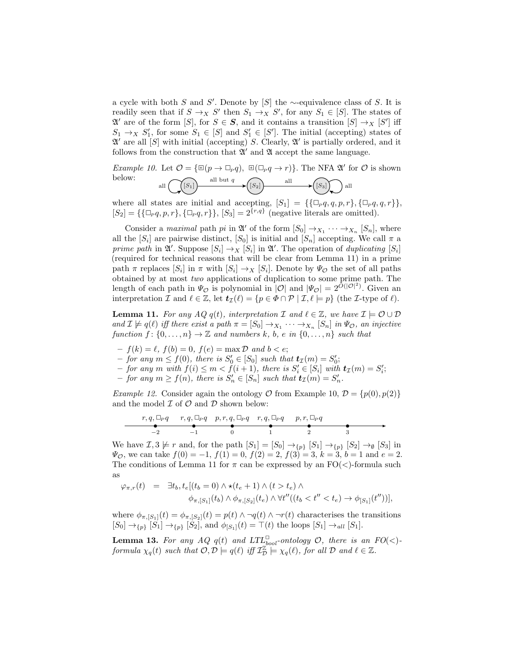a cycle with both S and S'. Denote by [S] the  $\sim$ -equivalence class of S. It is readily seen that if  $S \to_X S'$  then  $S_1 \to_X S'$ , for any  $S_1 \in [S]$ . The states of  $\mathfrak{A}'$  are of the form  $[S]$ , for  $S \in \mathcal{S}$ , and it contains a transition  $[S] \to_X [S']$  iff  $S_1 \rightarrow_X S'_1$ , for some  $S_1 \in [S]$  and  $S'_1 \in [S']$ . The initial (accepting) states of  $\mathfrak{A}'$  are all  $[S]$  with initial (accepting) S. Clearly,  $\mathfrak{A}'$  is partially ordered, and it follows from the construction that  $\mathfrak{A}'$  and  $\mathfrak{A}$  accept the same language.

*Example 10.* Let  $\mathcal{O} = \{ \mathbb{E}(p \to \mathbb{Z}_p q), \mathbb{E}(\mathbb{Z}_p q \to r) \}$ . The NFA  $\mathfrak{A}'$  for  $\mathcal O$  is shown below: all  $\left(\bigcap_{S_1}\right)$  all but  $q \rightarrow (S_2)$  all  $\rightarrow (S_3)$  all

where all states are initial and accepting,  $[S_1] = \{\{\Box_p q, q, p, r\}, \{\Box_p q, q, r\}\}\,$  $[S_2] = {\{\{\Box_p q, p, r\}, \{\Box_p q, r\}\}, [S_3] = 2^{\{r, q\}} \text{ (negative literals are omitted)}.$ 

Consider a maximal path pi in  $\mathfrak{A}'$  of the form  $[S_0] \to_{X_1} \cdots \to_{X_n} [S_n]$ , where all the  $[S_i]$  are pairwise distinct,  $[S_0]$  is initial and  $[S_n]$  accepting. We call  $\pi$  a prime path in  $\mathfrak{A}'$ . Suppose  $[S_i] \to_X [S_i]$  in  $\mathfrak{A}'$ . The operation of duplicating  $[S_i]$ (required for technical reasons that will be clear from Lemma 11) in a prime path  $\pi$  replaces  $[S_i]$  in  $\pi$  with  $[S_i] \to_X [S_i]$ . Denote by  $\Psi_{\mathcal{O}}$  the set of all paths obtained by at most two applications of duplication to some prime path. The length of each path in  $\Psi_{\mathcal{O}}$  is polynomial in  $|\mathcal{O}|$  and  $|\Psi_{\mathcal{O}}| = 2^{\tilde{O}(|\mathcal{O}|^2)}$ . Given an interpretation I and  $\ell \in \mathbb{Z}$ , let  $t_{\mathcal{I}}(\ell) = \{p \in \Phi \cap \mathcal{P} \mid \mathcal{I}, \ell \models p\}$  (the I-type of  $\ell$ ).

**Lemma 11.** For any  $AQ \cdot q(t)$ , interpretation  $\mathcal{I}$  and  $\ell \in \mathbb{Z}$ , we have  $\mathcal{I} \models \mathcal{O} \cup \mathcal{D}$ and  $\mathcal{I} \not\models q(\ell)$  iff there exist a path  $\pi = [S_0] \rightarrow_{X_1} \cdots \rightarrow_{X_n} [S_n]$  in  $\Psi_{\mathcal{O}}$ , an injective function  $f: \{0, \ldots, n\} \to \mathbb{Z}$  and numbers k, b, e in  $\{0, \ldots, n\}$  such that

- $-f(k) = \ell$ ,  $f(b) = 0$ ,  $f(e) = \max \mathcal{D}$  and  $b < e$ ;
- $-$  for any  $m \le f(0)$ , there is  $S'_0 \in [S_0]$  such that  $t_{\mathcal{I}}(m) = S'_0$ ;
- $-$  for any m with  $f(i) \leq m < \tilde{f}(i+1)$ , there is  $S_i' \in [S_i]$  with  $t_{\mathcal{I}}(m) = S_i'$ ;
- $-$  for any  $m \ge f(n)$ , there is  $S'_n \in [S_n]$  such that  $t_{\mathcal{I}}(m) = S'_n$ .

*Example 12.* Consider again the ontology O from Example 10,  $\mathcal{D} = \{p(0), p(2)\}\$ and the model  $\mathcal I$  of  $\mathcal O$  and  $\mathcal D$  shown below:

r, q, ✷<sup>P</sup> q −2 r, q, ✷<sup>P</sup> q −1 p, r, q, ✷<sup>P</sup> q 0 r, q, ✷<sup>P</sup> q 1 p, r, ✷<sup>P</sup> q 2 3

We have  $\mathcal{I}, 3 \not\models r$  and, for the path  $[S_1] = [S_0] \rightarrow_{\{p\}} [S_1] \rightarrow_{\{p\}} [S_2] \rightarrow_{\emptyset} [S_3]$  in  $\Psi_{\mathcal{O}}$ , we can take  $f(0) = -1$ ,  $f(1) = 0$ ,  $f(2) = 2$ ,  $f(3) = 3$ ,  $k = 3$ ,  $b = 1$  and  $e = 2$ . The conditions of Lemma 11 for  $\pi$  can be expressed by an  $FO(<)$ -formula such as

$$
\varphi_{\pi,r}(t) = \exists t_b, t_e[(t_b = 0) \land \star(t_e + 1) \land (t > t_e) \land \n\phi_{\pi,[S_1]}(t_b) \land \phi_{\pi,[S_2]}(t_e) \land \forall t''((t_b < t'' < t_e) \to \phi_{[S_1]}(t''))],
$$

where  $\phi_{\pi,[S_1]}(t) = \phi_{\pi,[S_2]}(t) = p(t) \wedge \neg q(t) \wedge \neg r(t)$  characterises the transitions  $[S_0] \to_{\{p\}} [S_1] \to_{\{p\}} [S_2]$ , and  $\phi_{[S_1]}(t) = \top(t)$  the loops  $[S_1] \to_{all} [S_1]$ .

**Lemma 13.** For any AQ  $q(t)$  and  $LTL_{bool}^{\square}$ -ontology  $\mathcal{O}$ , there is an  $FO(<)$ formula  $\chi_q(t)$  such that  $\mathcal{O}, \mathcal{D} \models q(\ell)$  iff  $\mathcal{I}_{\mathcal{D}}^{\mathbb{Z}} \models \chi_q(\ell)$ , for all  $\mathcal{D}$  and  $\ell \in \mathbb{Z}$ .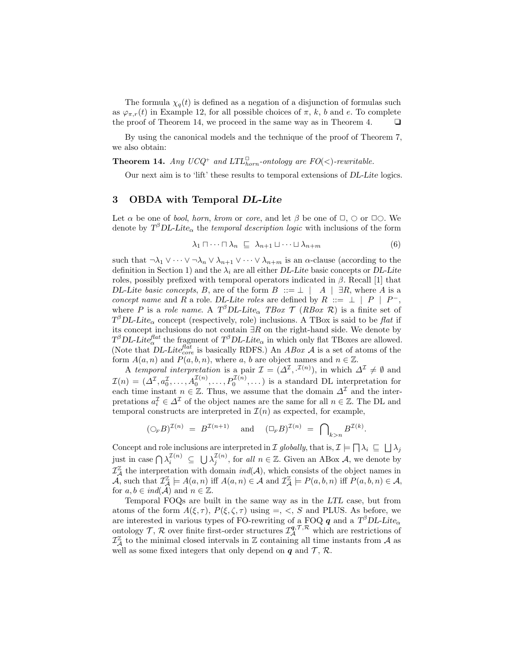The formula  $\chi_q(t)$  is defined as a negation of a disjunction of formulas such as  $\varphi_{\pi,r}(t)$  in Example 12, for all possible choices of  $\pi$ , k, b and e. To complete the proof of Theorem 14, we proceed in the same way as in Theorem 4.  $\Box$ 

By using the canonical models and the technique of the proof of Theorem 7, we also obtain:

**Theorem 14.** Any  $UCQ^+$  and  $LTL_{horn}^{\square}$ -ontology are  $FO(<)$ -rewritable.

Our next aim is to 'lift' these results to temporal extensions of DL-Lite logics.

### 3 OBDA with Temporal DL-Lite

Let  $\alpha$  be one of *bool, horn, krom* or *core,* and let  $\beta$  be one of  $\Box$ ,  $\bigcirc$  or  $\Box\bigcirc$ . We denote by  $T^{\beta}DL\text{-}Life_{\alpha}$  the *temporal description logic* with inclusions of the form

$$
\lambda_1 \sqcap \cdots \sqcap \lambda_n \sqsubseteq \lambda_{n+1} \sqcup \cdots \sqcup \lambda_{n+m} \tag{6}
$$

such that  $\neg \lambda_1 \vee \cdots \vee \neg \lambda_n \vee \lambda_{n+1} \vee \cdots \vee \lambda_{n+m}$  is an  $\alpha$ -clause (according to the definition in Section 1) and the  $\lambda_i$  are all either DL-Lite basic concepts or DL-Lite roles, possibly prefixed with temporal operators indicated in  $\beta$ . Recall [1] that DL-Lite basic concepts, B, are of the form  $B \ ::= \bot \ | A \ | \ \exists R$ , where A is a concept name and R a role. DL-Lite roles are defined by R ::=  $\perp$  | P | P<sup>-</sup>, where P is a role name. A  $T^{\beta}DL\text{-}Lite_{\alpha}$  TBox  $\mathcal{T}$  (RBox  $\mathcal{R}$ ) is a finite set of  $T^{\beta}DL\text{-}Lite_{\alpha}$  concept (respectively, role) inclusions. A TBox is said to be flat if its concept inclusions do not contain  $\exists R$  on the right-hand side. We denote by  $T^{\beta}DL\text{-}Lite^{flat}_{\alpha}$  the fragment of  $T^{\beta}DL\text{-}Lite_{\alpha}$  in which only flat TBoxes are allowed. (Note that DL-Lite<sub>core</sub> is basically RDFS.) An *ABox*  $\vec{A}$  is a set of atoms of the form  $A(a, n)$  and  $P(a, b, n)$ , where a, b are object names and  $n \in \mathbb{Z}$ .

A temporal interpretation is a pair  $\mathcal{I} = (\Delta^{\mathcal{I}}, \mathcal{I}^{(n)})$ , in which  $\Delta^{\mathcal{I}} \neq \emptyset$  and  $\mathcal{I}(n) = (\Delta^{\mathcal{I}}, a_0^{\mathcal{I}}, \ldots, A_0^{\mathcal{I}(n)}, \ldots, P_0^{\mathcal{I}(n)}, \ldots)$  is a standard DL interpretation for each time instant  $n \in \mathbb{Z}$ . Thus, we assume that the domain  $\Delta^{\mathcal{I}}$  and the interpretations  $a_i^{\mathcal{I}} \in \Delta^{\mathcal{I}}$  of the object names are the same for all  $n \in \mathbb{Z}$ . The DL and temporal constructs are interpreted in  $\mathcal{I}(n)$  as expected, for example,

$$
(\bigcirc_F B)^{\mathcal{I}(n)} = B^{\mathcal{I}(n+1)} \quad \text{and} \quad (\bigcirc_F B)^{\mathcal{I}(n)} = \bigcap_{k>n} B^{\mathcal{I}(k)}.
$$

Concept and role inclusions are interpreted in I globally, that is,  $\mathcal{I} \models \Box \lambda_i \subseteq \Box \lambda_j$ just in case  $\bigcap \lambda_i^{\mathcal{I}(n)} \subseteq \bigcup \lambda_j^{\mathcal{I}(n)}$ , for all  $n \in \mathbb{Z}$ . Given an ABox A, we denote by  $\mathcal{I}_{\mathcal{A}}^{\mathbb{Z}}$  the interpretation with domain  $ind(\mathcal{A})$ , which consists of the object names in  $\widehat{\mathcal{A}}$ , such that  $\mathcal{I}_{\mathcal{A}}^{\mathbb{Z}} \models A(a, n)$  iff  $A(a, n) \in \widehat{\mathcal{A}}$  and  $\mathcal{I}_{\mathcal{A}}^{\mathbb{Z}} \models P(a, b, n)$  iff  $P(a, b, n) \in \mathcal{A}$ , for  $a, b \in ind(\mathcal{A})$  and  $n \in \mathbb{Z}$ .

Temporal FOQs are built in the same way as in the LTL case, but from atoms of the form  $A(\xi, \tau)$ ,  $P(\xi, \zeta, \tau)$  using =, <, S and PLUS. As before, we are interested in various types of FO-rewriting of a FOQ  $q$  and a  $T^{\beta}DL\text{-}Lite_{\alpha}$ ontology  $\mathcal{T}, \mathcal{R}$  over finite first-order structures  $\mathcal{I}_{\mathcal{A}}^{q,\mathcal{T},\mathcal{R}}$  which are restrictions of  $\mathcal{I}_{\mathcal{A}}^{\mathbb{Z}}$  to the minimal closed intervals in  $\mathbb{Z}$  containing all time instants from  $\mathcal{A}$  as well as some fixed integers that only depend on  $q$  and  $\mathcal{T}, \mathcal{R}$ .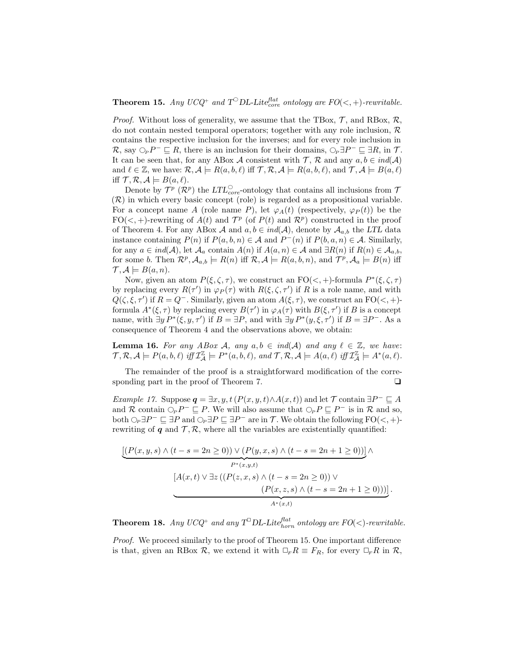**Theorem 15.** Any UCQ<sup>+</sup> and  $T^{\circ}$ DL-Lite<sup>flat</sup> ontology are  $FO(<, +)$ -rewritable.

*Proof.* Without loss of generality, we assume that the TBox,  $\mathcal{T}$ , and RBox,  $\mathcal{R}$ , do not contain nested temporal operators; together with any role inclusion,  $\mathcal{R}$ contains the respective inclusion for the inverses; and for every role inclusion in  $\mathcal{R}$ , say  $\bigcirc_{P} P^{-} \sqsubseteq R$ , there is an inclusion for their domains,  $\bigcirc_{P} \exists P^{-} \sqsubseteq \exists R$ , in T. It can be seen that, for any ABox A consistent with  $\mathcal{T}, \mathcal{R}$  and any  $a, b \in ind(\mathcal{A})$ and  $\ell \in \mathbb{Z}$ , we have:  $\mathcal{R}, \mathcal{A} \models R(a, b, \ell)$  iff  $\mathcal{T}, \mathcal{R}, \mathcal{A} \models R(a, b, \ell)$ , and  $\mathcal{T}, \mathcal{A} \models B(a, \ell)$ iff  $\mathcal{T}, \mathcal{R}, \mathcal{A} \models B(a, \ell).$ 

Denote by  $\mathcal{T}^p$  ( $\mathcal{R}^p$ ) the  $LTL_{core}^{\bigcirc}$ -ontology that contains all inclusions from  $\mathcal{T}$ (R) in which every basic concept (role) is regarded as a propositional variable. For a concept name A (role name P), let  $\varphi_A(t)$  (respectively,  $\varphi_P(t)$ ) be the  $FO(<,+)$ -rewriting of  $A(t)$  and  $\mathcal{T}^p$  (of  $P(t)$  and  $\mathcal{R}^p$ ) constructed in the proof of Theorem 4. For any ABox A and  $a, b \in ind(A)$ , denote by  $A_{a,b}$  the LTL data instance containing  $P(n)$  if  $P(a, b, n) \in \mathcal{A}$  and  $P^-(n)$  if  $P(b, a, n) \in \mathcal{A}$ . Similarly, for any  $a \in ind(\mathcal{A})$ , let  $\mathcal{A}_a$  contain  $A(n)$  if  $A(a, n) \in \mathcal{A}$  and  $\exists R(n)$  if  $R(n) \in \mathcal{A}_{a,b}$ , for some b. Then  $\mathcal{R}^p$ ,  $\mathcal{A}_{a,b} \models R(n)$  iff  $\mathcal{R}, \mathcal{A} \models R(a,b,n)$ , and  $\mathcal{T}^p$ ,  $\mathcal{A}_a \models B(n)$  iff  $\mathcal{T}, \mathcal{A} \models B(a, n).$ 

Now, given an atom  $P(\xi, \zeta, \tau)$ , we construct an  $FO(<, +)$ -formula  $P^*(\xi, \zeta, \tau)$ by replacing every  $R(\tau')$  in  $\varphi_P(\tau)$  with  $R(\xi, \zeta, \tau')$  if R is a role name, and with  $Q(\zeta, \xi, \tau')$  if  $R = Q^-$ . Similarly, given an atom  $A(\xi, \tau)$ , we construct an  $FO(\leq, +)$ formula  $A^*(\xi, \tau)$  by replacing every  $B(\tau')$  in  $\varphi_A(\tau)$  with  $B(\xi, \tau')$  if B is a concept name, with  $\exists y P^*(\xi, y, \tau')$  if  $B = \exists P$ , and with  $\exists y P^*(y, \xi, \tau')$  if  $B = \exists P^-$ . As a consequence of Theorem 4 and the observations above, we obtain:

**Lemma 16.** For any ABox A, any  $a, b \in ind(A)$  and any  $\ell \in \mathbb{Z}$ , we have:  $\mathcal{T}, \mathcal{R}, \mathcal{A} \models P(a, b, \ell) \text{ iff } \mathcal{I}_{\mathcal{A}}^{\mathbb{Z}} \models P^{*}(a, b, \ell), \text{ and } \mathcal{T}, \mathcal{R}, \mathcal{A} \models A(a, \ell) \text{ iff } \mathcal{I}_{\mathcal{A}}^{\mathbb{Z}} \models A^{*}(a, \ell).$ 

The remainder of the proof is a straightforward modification of the corresponding part in the proof of Theorem 7.  $\Box$ 

Example 17. Suppose  $q = \exists x, y, t (P(x, y, t) \land A(x, t))$  and let T contain  $\exists P^{-} \sqsubseteq A$ and R contain  $\bigcirc_{P} P^{-} \sqsubseteq P$ . We will also assume that  $\bigcirc_{P} P \sqsubseteq P^{-}$  is in R and so, both  $\bigcirc_{P} \exists P^{-} \sqsubseteq \exists P$  and  $\bigcirc_{P} \exists P \sqsubseteq \exists P^{-}$  are in T. We obtain the following  $FO(<, +)$ rewriting of q and  $\mathcal{T}, \mathcal{R}$ , where all the variables are existentially quantified:

$$
\underbrace{[(P(x,y,s) \land (t-s=2n \geq 0)) \lor (P(y,x,s) \land (t-s=2n+1 \geq 0))] \land}_{P^*(x,y,t)}
$$
\n
$$
[A(x,t) \lor \exists z ((P(z,x,s) \land (t-s=2n \geq 0)) \lor (P(x,z,s) \land (t-s=2n+1 \geq 0)))].
$$
\n
$$
A^*(x,t)
$$

**Theorem 18.** Any UCQ<sup>+</sup> and any  $T^{\square}DL\text{-}Lite^{flat}_{horn}$  ontology are  $FO(<)$ -rewritable.

Proof. We proceed similarly to the proof of Theorem 15. One important difference is that, given an RBox  $\mathcal{R}$ , we extend it with  $\Box_F R \equiv F_R$ , for every  $\Box_F R$  in  $\mathcal{R}$ ,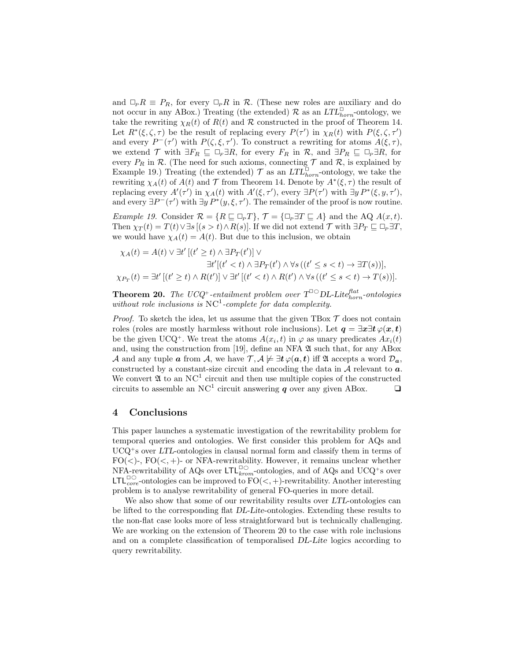and  $\Box_P R \equiv P_R$ , for every  $\Box_P R$  in R. (These new roles are auxiliary and do not occur in any ABox.) Treating (the extended)  $\mathcal{R}$  as an  $LTL_{horn}^{\Box}$ -ontology, we take the rewriting  $\chi_R(t)$  of  $R(t)$  and  $R$  constructed in the proof of Theorem 14. Let  $R^*(\xi, \zeta, \tau)$  be the result of replacing every  $P(\tau')$  in  $\chi_R(t)$  with  $P(\xi, \zeta, \tau')$ and every  $P^-(\tau')$  with  $P(\zeta,\xi,\tau')$ . To construct a rewriting for atoms  $A(\xi,\tau)$ , we extend  $\mathcal T$  with  $\exists F_R \sqsubseteq \Box_F \exists R$ , for every  $F_R$  in  $\mathcal R$ , and  $\exists P_R \sqsubseteq \Box_P \exists R$ , for every  $P_R$  in  $R$ . (The need for such axioms, connecting  $T$  and  $R$ , is explained by Example 19.) Treating (the extended)  $\mathcal{T}$  as an  $LTL_{horn}^{\square}$ -ontology, we take the rewriting  $\chi_A(t)$  of  $A(t)$  and  $\mathcal T$  from Theorem 14. Denote by  $A^*(\xi, \tau)$  the result of replacing every  $A'(\tau')$  in  $\chi_A(t)$  with  $A'(\xi, \tau')$ , every  $\exists P(\tau')$  with  $\exists y P^*(\xi, y, \tau')$ , and every  $\exists P^-(\tau')$  with  $\exists y P^*(y,\xi,\tau')$ . The remainder of the proof is now routine.

Example 19. Consider  $\mathcal{R} = \{R \sqsubseteq \Box_p T\}$ ,  $\mathcal{T} = \{\Box_p \exists T \sqsubseteq A\}$  and the AQ  $A(x, t)$ . Then  $\chi_T(t) = T(t) \vee \exists s \, [(s > t) \wedge R(s)]$ . If we did not extend  $\mathcal T$  with  $\exists P_T \sqsubseteq \Box_P \exists T$ , we would have  $\chi_A(t) = A(t)$ . But due to this inclusion, we obtain

$$
\chi_A(t) = A(t) \lor \exists t' \left[ (t' \ge t) \land \exists P_T(t') \right] \lor
$$
  
\n
$$
\exists t' \left[ (t' < t) \land \exists P_T(t') \land \forall s \left( (t' \le s < t) \to \exists T(s) \right) \right],
$$
  
\n
$$
\chi_{P_T}(t) = \exists t' \left[ (t' \ge t) \land R(t') \right] \lor \exists t' \left[ (t' < t) \land R(t') \land \forall s \left( (t' \le s < t) \to T(s) \right) \right].
$$

**Theorem 20.** The UCQ<sup>+</sup>-entailment problem over  $T^{\Box\bigarrow}DL\text{-}Lite^{flat}_{horn}\text{-}onto logies$ without role inclusions is  $NC<sup>1</sup>$ -complete for data complexity.

*Proof.* To sketch the idea, let us assume that the given TBox  $\mathcal T$  does not contain roles (roles are mostly harmless without role inclusions). Let  $q = \exists x \exists t \varphi(x, t)$ be the given UCQ<sup>+</sup>. We treat the atoms  $A(x_i, t)$  in  $\varphi$  as unary predicates  $Ax_i(t)$ and, using the construction from [19], define an NFA  $\mathfrak A$  such that, for any ABox A and any tuple a from A, we have  $\mathcal{T}, \mathcal{A} \not\models \exists t \varphi(a, t)$  iff  $\mathfrak{A}$  accepts a word  $\mathcal{D}_a$ , constructed by a constant-size circuit and encoding the data in  $A$  relevant to  $a$ . We convert  $\mathfrak A$  to an NC<sup>1</sup> circuit and then use multiple copies of the constructed circuits to assemble an NC<sup>1</sup> circuit answering  $q$  over any given ABox.  $\Box$ 

### 4 Conclusions

This paper launches a systematic investigation of the rewritability problem for temporal queries and ontologies. We first consider this problem for AQs and  $UCQ<sup>+</sup>$ s over LTL-ontologies in clausal normal form and classify them in terms of  $FO(<)$ -,  $FO(<, +)$ - or NFA-rewritability. However, it remains unclear whether NFA-rewritability of AQs over  $\mathsf{LTL}_{krom}^{\square\bigcirc}$ -ontologies, and of AQs and UCQ<sup>+</sup>s over LTL<sup> $\Box$ </sup> core-ontologies can be improved to  $\rm FO(<, +)$ -rewritability. Another interesting problem is to analyse rewritability of general FO-queries in more detail.

We also show that some of our rewritability results over LTL-ontologies can be lifted to the corresponding flat DL-Lite-ontologies. Extending these results to the non-flat case looks more of less straightforward but is technically challenging. We are working on the extension of Theorem 20 to the case with role inclusions and on a complete classification of temporalised DL-Lite logics according to query rewritability.